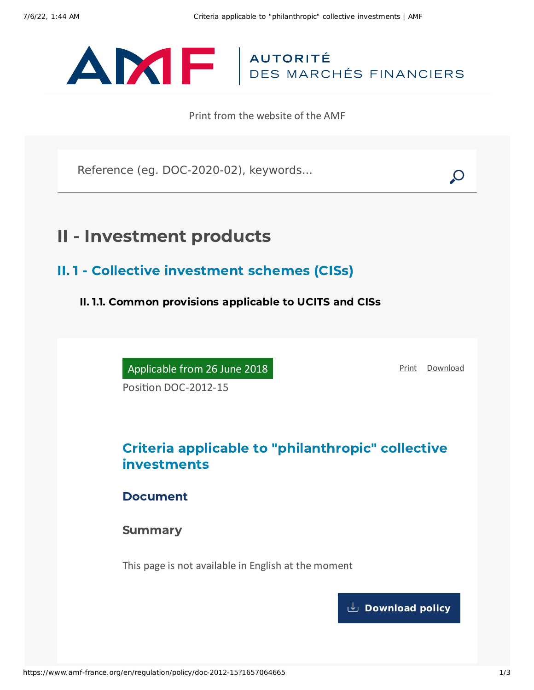

Print from the website of the AMF

Reference (eg. DOC-2020-02), keywords...

# II - Investment products

II. 1 - Collective investment schemes (CISs)

II. 1.1. Common provisions applicable to UCITS and CISs

Applicable from 26 June 2018

[Print](javascript:window.print()) [Download](https://www.amf-france.org/sites/default/files/pdf/62919/en/Criteria_applicable_to_philanthropic_collective_investments.pdf?1657064667)

Position DOC-2012-15

## Criteria applicable to "philanthropic" collective investments

Document

Summary

This page is not available in English at the moment

**[Download](https://www.amf-france.org/sites/default/files/pdf/62919/en/Criteria_applicable_to_philanthropic_collective_investments.pdf?1657064667?1657064667) policy**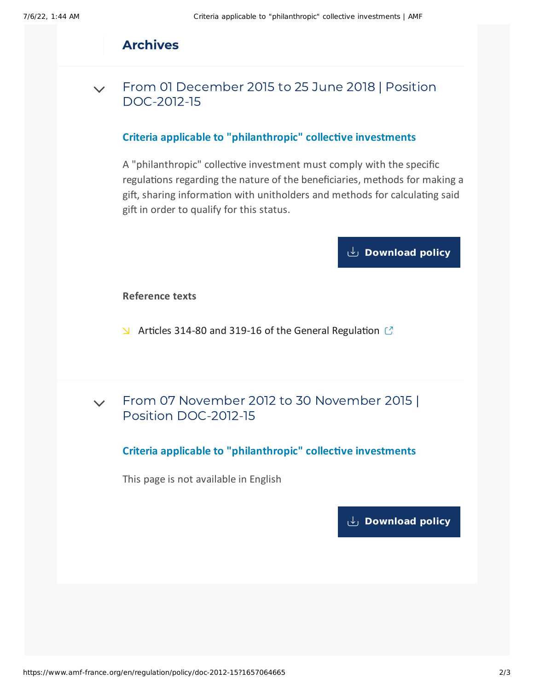## Archives

From 01 December 2015 to 25 June 2018 | Position [DOC-2012-15](#page-1-0)  $\sqrt{}$ 

#### **Criteria applicable to "philanthropic" collective investments**

<span id="page-1-0"></span>A "philanthropic" collective investment must comply with the specific regulations regarding the nature of the beneficiaries, methods for making a gift, sharing information with unitholders and methods for calculating said gift in order to qualify for this status.

## **[Download](https://www.amf-france.org/sites/default/files/doctrine/Position/Criteria%20applicable%20to%20philanthropic%20collective%20investments.pdf) policy**

#### **Reference texts**

- $\blacktriangleright$  Articles 314-80 and 319-16 of the General [Regulation](https://reglement-general.amf-france.org/eli/fr/aai/amf/rg/notes/en.html)  $\mathbb C$
- From 07 November 2012 to 30 November 2015 | Position [DOC-2012-15](#page-1-1)  $\vee$

#### **Criteria applicable to "philanthropic" collective investments**

<span id="page-1-1"></span>This page is not available in English

**[Download](https://www.amf-france.org/sites/default/files/pdf/62919/en/Criteria_applicable_to_philanthropic_collective_investments.pdf?1657064667?1657064667) policy**